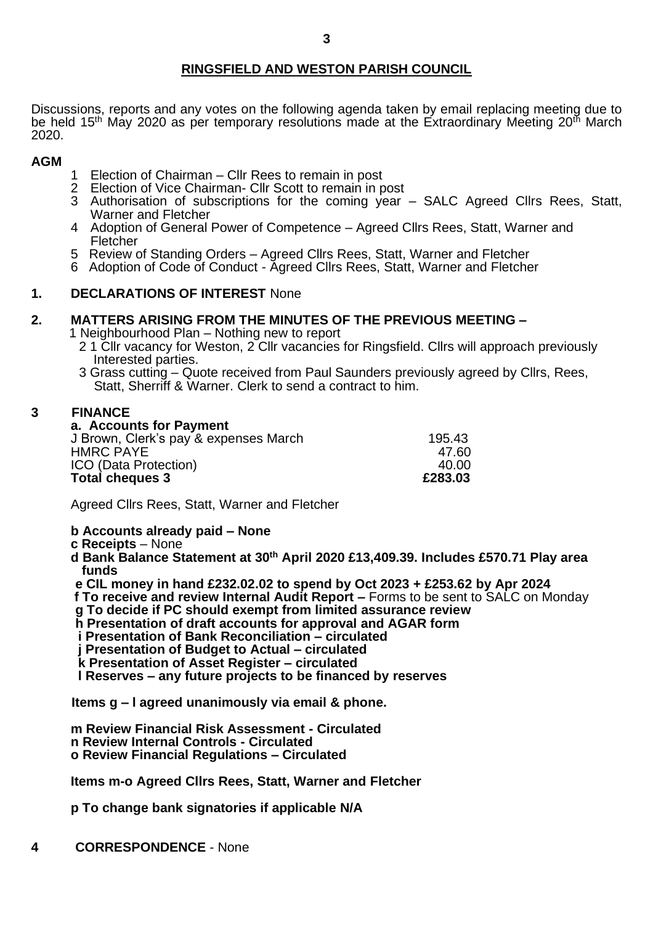# **RINGSFIELD AND WESTON PARISH COUNCIL**

Discussions, reports and any votes on the following agenda taken by email replacing meeting due to be held 15<sup>th</sup> May 2020 as per temporary resolutions made at the Extraordinary Meeting 20<sup>th</sup> March 2020.

### **AGM**

- 1 Election of Chairman Cllr Rees to remain in post
- 2 Election of Vice Chairman- Cllr Scott to remain in post
- 3 Authorisation of subscriptions for the coming year SALC Agreed Cllrs Rees, Statt, Warner and Fletcher
- 4 Adoption of General Power of Competence Agreed Cllrs Rees, Statt, Warner and Fletcher
- 5 Review of Standing Orders Agreed Cllrs Rees, Statt, Warner and Fletcher
- 6 Adoption of Code of Conduct Agreed Cllrs Rees, Statt, Warner and Fletcher

## **1. DECLARATIONS OF INTEREST** None

# **2. MATTERS ARISING FROM THE MINUTES OF THE PREVIOUS MEETING –**

1 Neighbourhood Plan – Nothing new to report

- 2 1 Cllr vacancy for Weston, 2 Cllr vacancies for Ringsfield. Cllrs will approach previously Interested parties.
- 3 Grass cutting Quote received from Paul Saunders previously agreed by Cllrs, Rees, Statt, Sherriff & Warner. Clerk to send a contract to him.

### **3 FINANCE**

| a. Accounts for Payment               |         |
|---------------------------------------|---------|
| J Brown, Clerk's pay & expenses March | 195.43  |
| HMRC PAYE                             | 47.60   |
| ICO (Data Protection)                 | 40.00   |
| <b>Total cheques 3</b>                | £283.03 |

Agreed Cllrs Rees, Statt, Warner and Fletcher

#### **b Accounts already paid – None**

**c Receipts** – None

**d Bank Balance Statement at 30th April 2020 £13,409.39. Includes £570.71 Play area funds**

 **e CIL money in hand £232.02.02 to spend by Oct 2023 + £253.62 by Apr 2024**

**f To receive and review Internal Audit Report –** Forms to be sent to SALC on Monday

 **g To decide if PC should exempt from limited assurance review** 

- **h Presentation of draft accounts for approval and AGAR form**
- **i Presentation of Bank Reconciliation – circulated**

 **j Presentation of Budget to Actual – circulated**

 **k Presentation of Asset Register – circulated** 

 **l Reserves – any future projects to be financed by reserves**

**Items g – l agreed unanimously via email & phone.**

**m Review Financial Risk Assessment - Circulated n Review Internal Controls - Circulated**

**o Review Financial Regulations – Circulated**

**Items m-o Agreed Cllrs Rees, Statt, Warner and Fletcher**

**p To change bank signatories if applicable N/A**